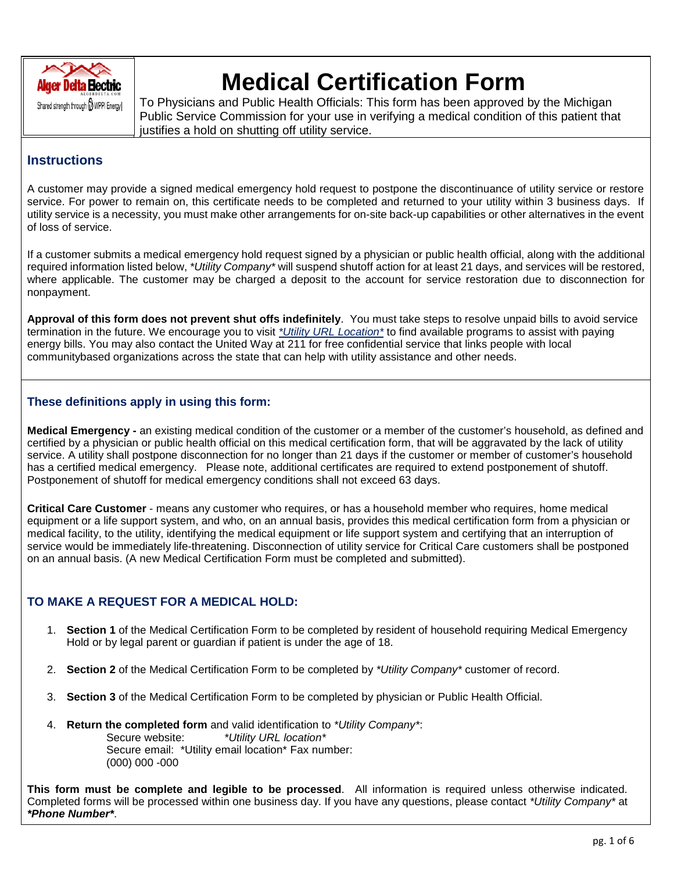

# **Alger Delta Bectric COVEC Medical Certification Form**

To Physicians and Public Health Officials: This form has been approved by the Michigan Public Service Commission for your use in verifying a medical condition of this patient that justifies a hold on shutting off utility service.

#### **Instructions**

A customer may provide a signed medical emergency hold request to postpone the discontinuance of utility service or restore service. For power to remain on, this certificate needs to be completed and returned to your utility within 3 business days. If utility service is a necessity, you must make other arrangements for on-site back-up capabilities or other alternatives in the event of loss of service.

If a customer submits a medical emergency hold request signed by a physician or public health official, along with the additional required information listed below, *\*Utility Company\** will suspend shutoff action for at least 21 days, and services will be restored, where applicable. The customer may be charged a deposit to the account for service restoration due to disconnection for nonpayment.

**Approval of this form does not prevent shut offs indefinitely**. You must take steps to resolve unpaid bills to avoid service termination in the future. We encourage you to visit *\*Utility URL Location\** to find available programs to assist with paying energy bills. You may also contact the United Way at 211 for free confidential service that links people with local communitybased organizations across the state that can help with utility assistance and other needs.

#### **These definitions apply in using this form:**

**Medical Emergency -** an existing medical condition of the customer or a member of the customer's household, as defined and certified by a physician or public health official on this medical certification form, that will be aggravated by the lack of utility service. A utility shall postpone disconnection for no longer than 21 days if the customer or member of customer's household has a certified medical emergency. Please note, additional certificates are required to extend postponement of shutoff. Postponement of shutoff for medical emergency conditions shall not exceed 63 days.

**Critical Care Customer** - means any customer who requires, or has a household member who requires, home medical equipment or a life support system, and who, on an annual basis, provides this medical certification form from a physician or medical facility, to the utility, identifying the medical equipment or life support system and certifying that an interruption of service would be immediately life-threatening. Disconnection of utility service for Critical Care customers shall be postponed on an annual basis. (A new Medical Certification Form must be completed and submitted).

#### **TO MAKE A REQUEST FOR A MEDICAL HOLD:**

- 1. **Section 1** of the Medical Certification Form to be completed by resident of household requiring Medical Emergency Hold or by legal parent or guardian if patient is under the age of 18.
- 2. **Section 2** of the Medical Certification Form to be completed by *\*Utility Company\** customer of record.
- 3. **Section 3** of the Medical Certification Form to be completed by physician or Public Health Official.
- 4. **Return the completed form** and valid identification to *\*Utility Company\**: Secure website: *\*Utility URL location\** Secure email: \*Utility email location\* Fax number: (000) 000 -000

**This form must be complete and legible to be processed**. All information is required unless otherwise indicated. Completed forms will be processed within one business day. If you have any questions, please contact *\*Utility Company\** at *\*Phone Number\**.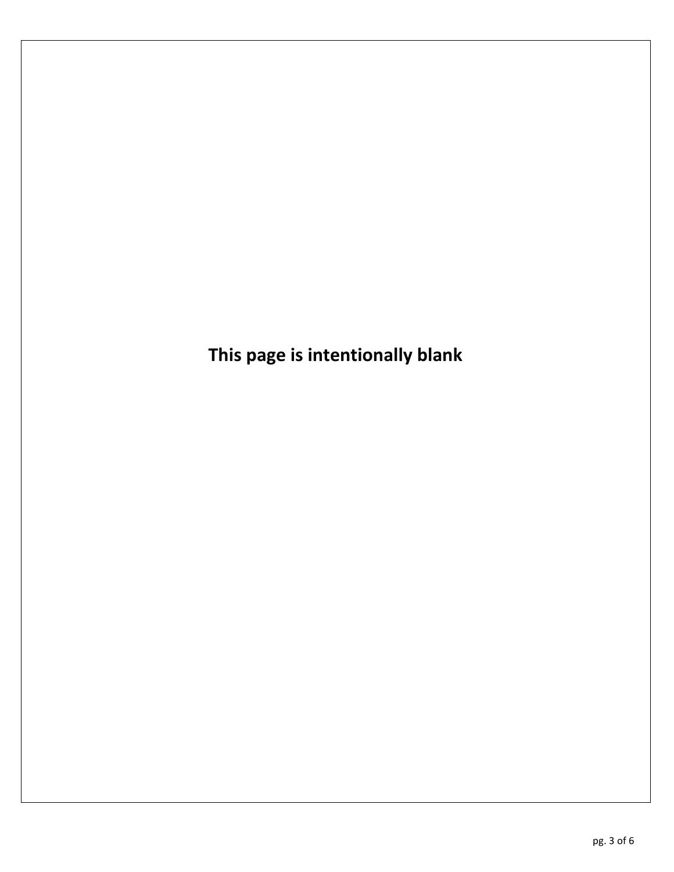**This page is intentionally blank**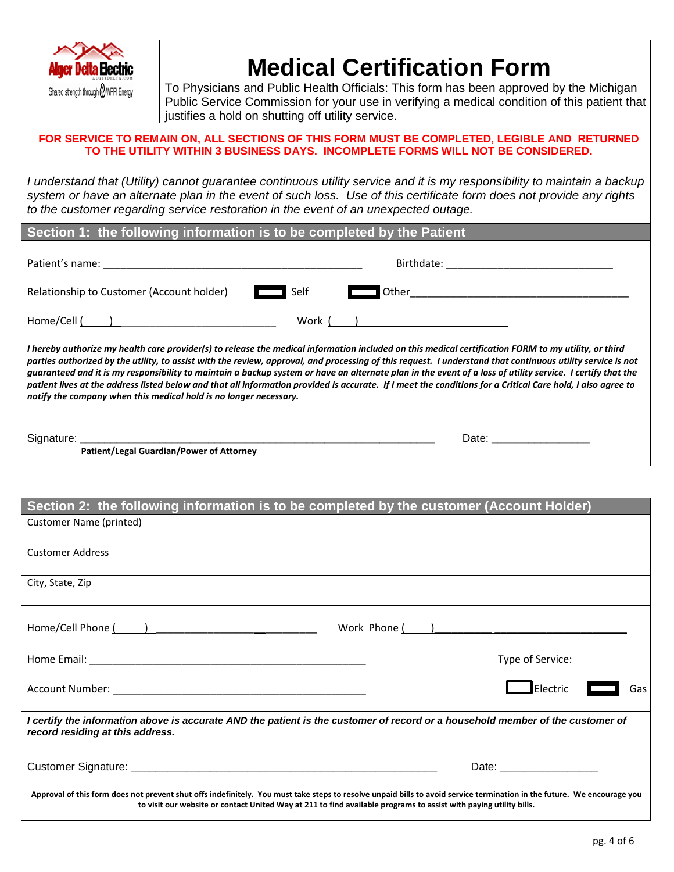

## **Medical Certification Form**

To Physicians and Public Health Officials: This form has been approved by the Michigan Public Service Commission for your use in verifying a medical condition of this patient that justifies a hold on shutting off utility service.

#### **FOR SERVICE TO REMAIN ON, ALL SECTIONS OF THIS FORM MUST BE COMPLETED, LEGIBLE AND RETURNED TO THE UTILITY WITHIN 3 BUSINESS DAYS. INCOMPLETE FORMS WILL NOT BE CONSIDERED.**

*I understand that (Utility) cannot guarantee continuous utility service and it is my responsibility to maintain a backup system or have an alternate plan in the event of such loss. Use of this certificate form does not provide any rights to the customer regarding service restoration in the event of an unexpected outage.*

### **Section 1: the following information is to be completed by the Patient**

| Relationship to Customer (Account holder)                         | Self | Design other <u>contracts and the contracts of the contracts</u>                                                                                                                                                                                                                                                                                                                                                                                                                                                                                                                                                                                 |  |
|-------------------------------------------------------------------|------|--------------------------------------------------------------------------------------------------------------------------------------------------------------------------------------------------------------------------------------------------------------------------------------------------------------------------------------------------------------------------------------------------------------------------------------------------------------------------------------------------------------------------------------------------------------------------------------------------------------------------------------------------|--|
| Home/Cell ( )                                                     |      | Work ( ) <u>_____________________________</u>                                                                                                                                                                                                                                                                                                                                                                                                                                                                                                                                                                                                    |  |
| notify the company when this medical hold is no longer necessary. |      | I hereby authorize my health care provider(s) to release the medical information included on this medical certification FORM to my utility, or third<br>parties authorized by the utility, to assist with the review, approval, and processing of this request. I understand that continuous utility service is not<br>guaranteed and it is my responsibility to maintain a backup system or have an alternate plan in the event of a loss of utility service. I certify that the<br>patient lives at the address listed below and that all information provided is accurate. If I meet the conditions for a Critical Care hold, I also agree to |  |

 **Patient/Legal Guardian/Power of Attorney**

Signature: **\_\_\_\_\_\_\_\_\_\_\_\_\_\_\_\_\_\_\_\_\_\_\_\_\_\_\_\_\_\_\_\_\_\_\_\_\_\_\_\_\_\_\_\_\_\_\_\_\_\_\_\_\_\_\_\_\_\_** Date: **\_\_\_\_\_\_\_\_\_\_\_\_\_\_\_\_**

| Section 2: the following information is to be completed by the customer (Account Holder)                                                                                                                                                                                                     |                           |  |  |
|----------------------------------------------------------------------------------------------------------------------------------------------------------------------------------------------------------------------------------------------------------------------------------------------|---------------------------|--|--|
| Customer Name (printed)                                                                                                                                                                                                                                                                      |                           |  |  |
|                                                                                                                                                                                                                                                                                              |                           |  |  |
| <b>Customer Address</b>                                                                                                                                                                                                                                                                      |                           |  |  |
| City, State, Zip                                                                                                                                                                                                                                                                             |                           |  |  |
|                                                                                                                                                                                                                                                                                              |                           |  |  |
| Home/Cell Phone ( )                                                                                                                                                                                                                                                                          | Work Phone ( )            |  |  |
|                                                                                                                                                                                                                                                                                              | Type of Service:          |  |  |
|                                                                                                                                                                                                                                                                                              |                           |  |  |
|                                                                                                                                                                                                                                                                                              | Electric<br>Gas           |  |  |
| I certify the information above is accurate AND the patient is the customer of record or a household member of the customer of<br>record residing at this address.                                                                                                                           |                           |  |  |
|                                                                                                                                                                                                                                                                                              | Date: $\frac{1}{2}$ Date: |  |  |
| Approval of this form does not prevent shut offs indefinitely. You must take steps to resolve unpaid bills to avoid service termination in the future. We encourage you<br>to visit our website or contact United Way at 211 to find available programs to assist with paying utility bills. |                           |  |  |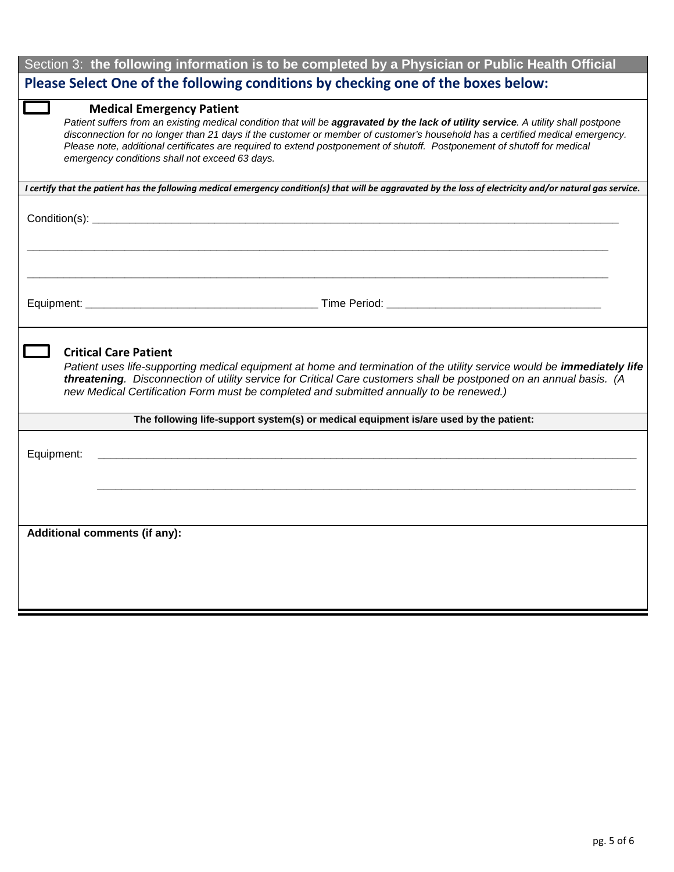| Section 3: the following information is to be completed by a Physician or Public Health Official                                                                                                                                                                                                                                                                                                                                                                                       |  |  |  |
|----------------------------------------------------------------------------------------------------------------------------------------------------------------------------------------------------------------------------------------------------------------------------------------------------------------------------------------------------------------------------------------------------------------------------------------------------------------------------------------|--|--|--|
| Please Select One of the following conditions by checking one of the boxes below:                                                                                                                                                                                                                                                                                                                                                                                                      |  |  |  |
| <b>Medical Emergency Patient</b><br>Patient suffers from an existing medical condition that will be aggravated by the lack of utility service. A utility shall postpone<br>disconnection for no longer than 21 days if the customer or member of customer's household has a certified medical emergency.<br>Please note, additional certificates are required to extend postponement of shutoff. Postponement of shutoff for medical<br>emergency conditions shall not exceed 63 days. |  |  |  |
| I certify that the patient has the following medical emergency condition(s) that will be aggravated by the loss of electricity and/or natural gas service.                                                                                                                                                                                                                                                                                                                             |  |  |  |
| $Condition(s):$ $\qquad \qquad$                                                                                                                                                                                                                                                                                                                                                                                                                                                        |  |  |  |
|                                                                                                                                                                                                                                                                                                                                                                                                                                                                                        |  |  |  |
| <b>Critical Care Patient</b><br>Patient uses life-supporting medical equipment at home and termination of the utility service would be immediately life<br>threatening. Disconnection of utility service for Critical Care customers shall be postponed on an annual basis. (A<br>new Medical Certification Form must be completed and submitted annually to be renewed.)                                                                                                              |  |  |  |
| The following life-support system(s) or medical equipment is/are used by the patient:                                                                                                                                                                                                                                                                                                                                                                                                  |  |  |  |
| Equipment:                                                                                                                                                                                                                                                                                                                                                                                                                                                                             |  |  |  |
| Additional comments (if any):                                                                                                                                                                                                                                                                                                                                                                                                                                                          |  |  |  |
|                                                                                                                                                                                                                                                                                                                                                                                                                                                                                        |  |  |  |
|                                                                                                                                                                                                                                                                                                                                                                                                                                                                                        |  |  |  |
|                                                                                                                                                                                                                                                                                                                                                                                                                                                                                        |  |  |  |